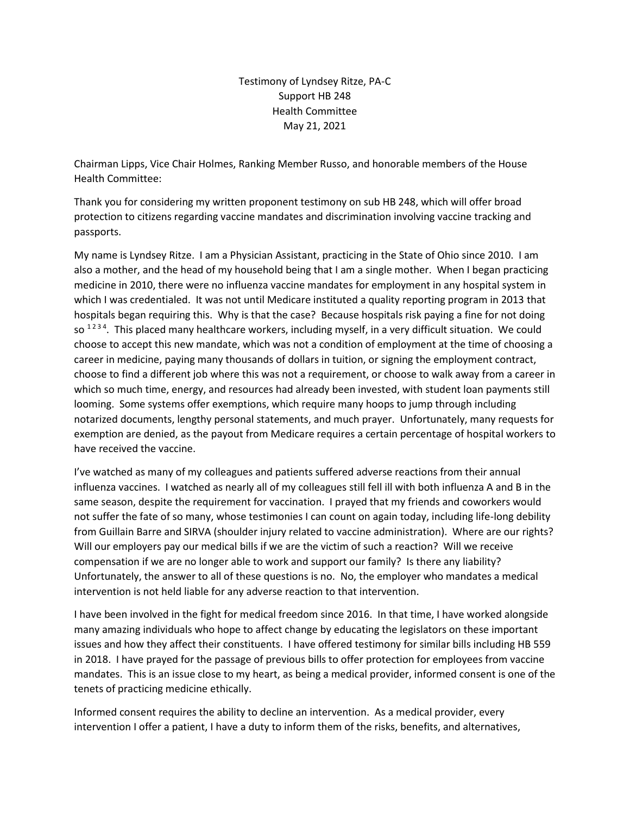Testimony of Lyndsey Ritze, PA-C Support HB 248 Health Committee May 21, 2021

Chairman Lipps, Vice Chair Holmes, Ranking Member Russo, and honorable members of the House Health Committee:

Thank you for considering my written proponent testimony on sub HB 248, which will offer broad protection to citizens regarding vaccine mandates and discrimination involving vaccine tracking and passports.

My name is Lyndsey Ritze. I am a Physician Assistant, practicing in the State of Ohio since 2010. I am also a mother, and the head of my household being that I am a single mother. When I began practicing medicine in 2010, there were no influenza vaccine mandates for employment in any hospital system in which I was credentialed. It was not until Medicare instituted a quality reporting program in 2013 that hospitals began requiring this. Why is that the case? Because hospitals risk paying a fine for not doing so  $1234$ . This placed many healthcare workers, including myself, in a very difficult situation. We could choose to accept this new mandate, which was not a condition of employment at the time of choosing a career in medicine, paying many thousands of dollars in tuition, or signing the employment contract, choose to find a different job where this was not a requirement, or choose to walk away from a career in which so much time, energy, and resources had already been invested, with student loan payments still looming. Some systems offer exemptions, which require many hoops to jump through including notarized documents, lengthy personal statements, and much prayer. Unfortunately, many requests for exemption are denied, as the payout from Medicare requires a certain percentage of hospital workers to have received the vaccine.

I've watched as many of my colleagues and patients suffered adverse reactions from their annual influenza vaccines. I watched as nearly all of my colleagues still fell ill with both influenza A and B in the same season, despite the requirement for vaccination. I prayed that my friends and coworkers would not suffer the fate of so many, whose testimonies I can count on again today, including life-long debility from Guillain Barre and SIRVA (shoulder injury related to vaccine administration). Where are our rights? Will our employers pay our medical bills if we are the victim of such a reaction? Will we receive compensation if we are no longer able to work and support our family? Is there any liability? Unfortunately, the answer to all of these questions is no. No, the employer who mandates a medical intervention is not held liable for any adverse reaction to that intervention.

I have been involved in the fight for medical freedom since 2016. In that time, I have worked alongside many amazing individuals who hope to affect change by educating the legislators on these important issues and how they affect their constituents. I have offered testimony for similar bills including HB 559 in 2018. I have prayed for the passage of previous bills to offer protection for employees from vaccine mandates. This is an issue close to my heart, as being a medical provider, informed consent is one of the tenets of practicing medicine ethically.

Informed consent requires the ability to decline an intervention. As a medical provider, every intervention I offer a patient, I have a duty to inform them of the risks, benefits, and alternatives,